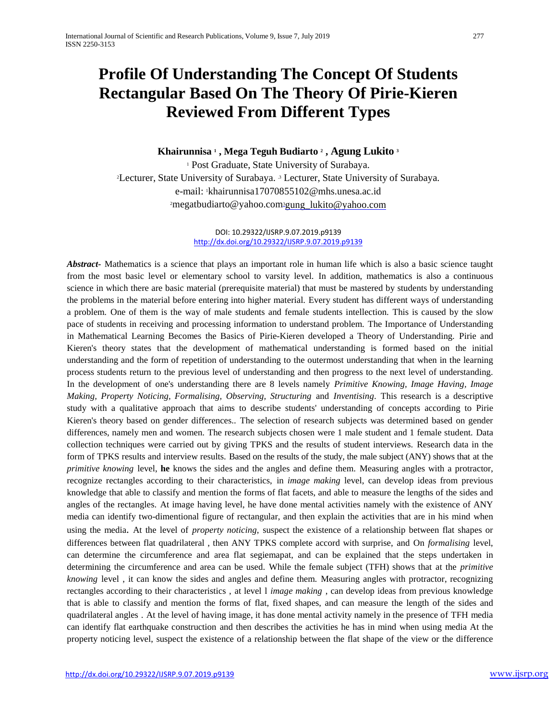# **Profile Of Understanding The Concept Of Students Rectangular Based On The Theory Of Pirie-Kieren Reviewed From Different Types**

## **Khairunnisa <sup>1</sup> , Mega Teguh Budiarto <sup>2</sup> , Agung Lukito <sup>3</sup>**

<sup>1</sup> Post Graduate, State University of Surabaya. <sup>2</sup>Lecturer, State University of Surabaya. <sup>3</sup> Lecturer, State University of Surabaya. e-mail: <sup>1</sup>khairunnisa1707085510[2@mhs.unesa.ac.id](mailto:@mhs.unesa.ac) <sup>2</sup>[megatbudiarto@yahoo.com](mailto:2megatbudiarto@yahoo.com)<sup>3</sup>gung\_lukito@yahoo.com

#### DOI: 10.29322/IJSRP.9.07.2019.p9139 <http://dx.doi.org/10.29322/IJSRP.9.07.2019.p9139>

*Abstract-* Mathematics is a science that plays an important role in human life which is also a basic science taught from the most basic level or elementary school to varsity level. In addition, mathematics is also a continuous science in which there are basic material (prerequisite material) that must be mastered by students by understanding the problems in the material before entering into higher material. Every student has different ways of understanding a problem. One of them is the way of male students and female students intellection. This is caused by the slow pace of students in receiving and processing information to understand problem. The Importance of Understanding in Mathematical Learning Becomes the Basics of Pirie-Kieren developed a Theory of Understanding. Pirie and Kieren's theory states that the development of mathematical understanding is formed based on the initial understanding and the form of repetition of understanding to the outermost understanding that when in the learning process students return to the previous level of understanding and then progress to the next level of understanding. In the development of one's understanding there are 8 levels namely *Primitive Knowing, Image Having, Image Making, Property Noticing, Formalising, Observing, Structuring* and *Inventising*. This research is a descriptive study with a qualitative approach that aims to describe students' understanding of concepts according to Pirie Kieren's theory based on gender differences.. The selection of research subjects was determined based on gender differences, namely men and women. The research subjects chosen were 1 male student and 1 female student. Data collection techniques were carried out by giving TPKS and the results of student interviews. Research data in the form of TPKS results and interview results. Based on the results of the study, the male subject (ANY) shows that at the *primitive knowing* level, **he** knows the sides and the angles and define them. Measuring angles with a protractor, recognize rectangles according to their characteristics, in *image making* level, can develop ideas from previous knowledge that able to classify and mention the forms of flat facets, and able to measure the lengths of the sides and angles of the rectangles. At image having level, he have done mental activities namely with the existence of ANY media can identify two-dimentional figure of rectangular, and then explain the activities that are in his mind when using the media. At the level of *property noticing*, suspect the existence of a relationship between flat shapes or differences between flat quadrilateral , then ANY TPKS complete accord with surprise, and On *formalising* level, can determine the circumference and area flat segiemapat, and can be explained that the steps undertaken in determining the circumference and area can be used. While the female subject (TFH) shows that at the *primitive knowing* level , it can know the sides and angles and define them. Measuring angles with protractor, recognizing rectangles according to their characteristics , at level l *image making* , can develop ideas from previous knowledge that is able to classify and mention the forms of flat, fixed shapes, and can measure the length of the sides and quadrilateral angles . At the level of having image, it has done mental activity namely in the presence of TFH media can identify flat earthquake construction and then describes the activities he has in mind when using media At the property noticing level, suspect the existence of a relationship between the flat shape of the view or the difference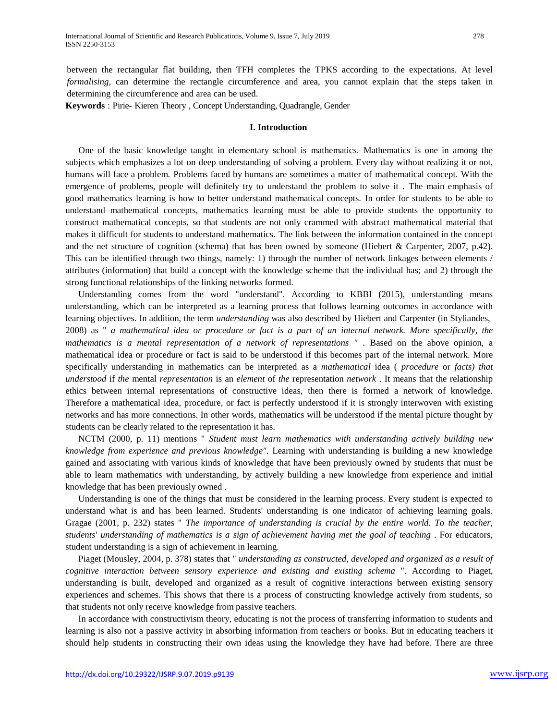between the rectangular flat building, then TFH completes the TPKS according to the expectations. At level *formalising*, can determine the rectangle circumference and area, you cannot explain that the steps taken in determining the circumference and area can be used.

**Keywords** : Pirie- Kieren Theory , Concept Understanding, Quadrangle, Gender

#### **I. Introduction**

One of the basic knowledge taught in elementary school is mathematics. Mathematics is one in among the subjects which emphasizes a lot on deep understanding of solving a problem. Every day without realizing it or not, humans will face a problem. Problems faced by humans are sometimes a matter of mathematical concept. With the emergence of problems, people will definitely try to understand the problem to solve it . The main emphasis of good mathematics learning is how to better understand mathematical concepts. In order for students to be able to understand mathematical concepts, mathematics learning must be able to provide students the opportunity to construct mathematical concepts, so that students are not only crammed with abstract mathematical material that makes it difficult for students to understand mathematics. The link between the information contained in the concept and the net structure of cognition (schema) that has been owned by someone (Hiebert & Carpenter, 2007, p.42). This can be identified through two things, namely: 1) through the number of network linkages between elements / attributes (information) that build a concept with the knowledge scheme that the individual has; and 2) through the strong functional relationships of the linking networks formed.

Understanding comes from the word "understand". According to KBBI (2015), understanding means understanding, which can be interpreted as a learning process that follows learning outcomes in accordance with learning objectives. In addition, the term *understanding* was also described by Hiebert and Carpenter (in Styliandes, 2008) as " *a mathematical idea or procedure or fact is a part of an internal network. More specifically, the mathematics is a mental representation of a network of representations "* . Based on the above opinion, a mathematical idea or procedure or fact is said to be understood if this becomes part of the internal network. More specifically understanding in mathematics can be interpreted as a *mathematical* idea ( *procedure* or *facts) that understood* if *the* mental *representation* is an *element* of *the* representation *network* . It means that the relationship ethics between internal representations of constructive ideas, then there is formed a network of knowledge. Therefore a mathematical idea, procedure, or fact is perfectly understood if it is strongly interwoven with existing networks and has more connections. In other words, mathematics will be understood if the mental picture thought by students can be clearly related to the representation it has.

NCTM (2000, p. 11) mentions " *Student must learn mathematics with understanding actively building new knowledge from experience and previous knowledge".* Learning with understanding is building a new knowledge gained and associating with various kinds of knowledge that have been previously owned by students that must be able to learn mathematics with understanding, by actively building a new knowledge from experience and initial knowledge that has been previously owned *.*

Understanding is one of the things that must be considered in the learning process. Every student is expected to understand what is and has been learned. Students' understanding is one indicator of achieving learning goals. Gragae (2001, p. 232) states " *The importance of understanding is crucial by the entire world. To the teacher, students' understanding of mathematics is a sign of achievement having met the goal of teaching* . For educators, student understanding is a sign of achievement in learning.

Piaget (Mousley, 2004, p. 378) states that " *understanding as constructed, developed and organized as a result of cognitive interaction between sensory experience and existing and existing schema* ". According to Piaget, understanding is built, developed and organized as a result of cognitive interactions between existing sensory experiences and schemes. This shows that there is a process of constructing knowledge actively from students, so that students not only receive knowledge from passive teachers.

In accordance with constructivism theory, educating is not the process of transferring information to students and learning is also not a passive activity in absorbing information from teachers or books. But in educating teachers it should help students in constructing their own ideas using the knowledge they have had before. There are three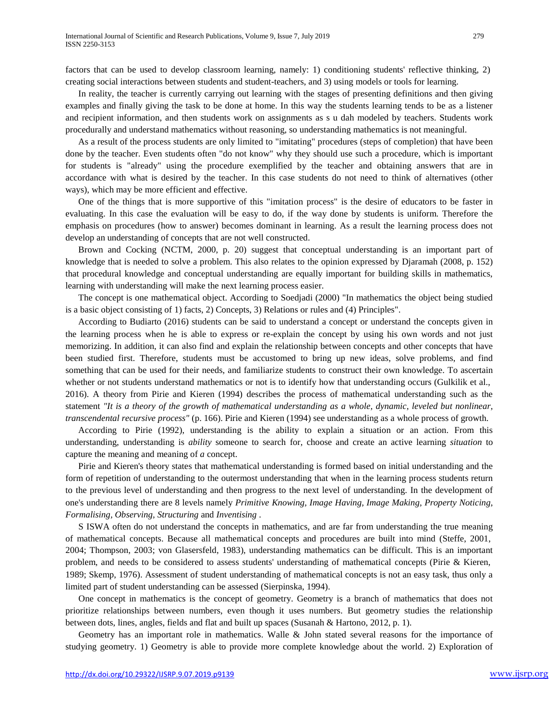factors that can be used to develop classroom learning, namely: 1) conditioning students' reflective thinking, 2) creating social interactions between students and student-teachers, and 3) using models or tools for learning.

In reality, the teacher is currently carrying out learning with the stages of presenting definitions and then giving examples and finally giving the task to be done at home. In this way the students learning tends to be as a listener and recipient information, and then students work on assignments as s u dah modeled by teachers. Students work procedurally and understand mathematics without reasoning, so understanding mathematics is not meaningful.

As a result of the process students are only limited to "imitating" procedures (steps of completion) that have been done by the teacher. Even students often "do not know" why they should use such a procedure, which is important for students is "already" using the procedure exemplified by the teacher and obtaining answers that are in accordance with what is desired by the teacher. In this case students do not need to think of alternatives (other ways), which may be more efficient and effective.

One of the things that is more supportive of this "imitation process" is the desire of educators to be faster in evaluating. In this case the evaluation will be easy to do, if the way done by students is uniform. Therefore the emphasis on procedures (how to answer) becomes dominant in learning. As a result the learning process does not develop an understanding of concepts that are not well constructed.

Brown and Cocking (NCTM, 2000, p. 20) suggest that conceptual understanding is an important part of knowledge that is needed to solve a problem. This also relates to the opinion expressed by Djaramah (2008, p. 152) that procedural knowledge and conceptual understanding are equally important for building skills in mathematics, learning with understanding will make the next learning process easier.

The concept is one mathematical object. According to Soedjadi (2000) "In mathematics the object being studied is a basic object consisting of 1) facts, 2) Concepts, 3) Relations or rules and (4) Principles".

According to Budiarto (2016) students can be said to understand a concept or understand the concepts given in the learning process when he is able to express or re-explain the concept by using his own words and not just memorizing. In addition, it can also find and explain the relationship between concepts and other concepts that have been studied first. Therefore, students must be accustomed to bring up new ideas, solve problems, and find something that can be used for their needs, and familiarize students to construct their own knowledge. To ascertain whether or not students understand mathematics or not is to identify how that understanding occurs (Gulkilik et al., 2016). A theory from Pirie and Kieren (1994) describes the process of mathematical understanding such as the statement *"It is a theory of the growth of mathematical understanding as a whole, dynamic, leveled but nonlinear, transcendental recursive process"* (p. 166). Pirie and Kieren (1994) see understanding as a whole process of growth.

According to Pirie (1992), understanding is the ability to explain a situation or an action. From this understanding, understanding is *ability* someone to search for, choose and create an active learning *situation* to capture the meaning and meaning of *a* concept.

Pirie and Kieren's theory states that mathematical understanding is formed based on initial understanding and the form of repetition of understanding to the outermost understanding that when in the learning process students return to the previous level of understanding and then progress to the next level of understanding. In the development of one's understanding there are 8 levels namely *Primitive Knowing, Image Having, Image Making, Property Noticing, Formalising, Observing, Structuring* and *Inventising* .

S ISWA often do not understand the concepts in mathematics, and are far from understanding the true meaning of mathematical concepts. Because all mathematical concepts and procedures are built into mind (Steffe, 2001, 2004; Thompson, 2003; von Glasersfeld, 1983), understanding mathematics can be difficult. This is an important problem, and needs to be considered to assess students' understanding of mathematical concepts (Pirie & Kieren, 1989; Skemp, 1976). Assessment of student understanding of mathematical concepts is not an easy task, thus only a limited part of student understanding can be assessed (Sierpinska, 1994).

One concept in mathematics is the concept of geometry. Geometry is a branch of mathematics that does not prioritize relationships between numbers, even though it uses numbers. But geometry studies the relationship between dots, lines, angles, fields and flat and built up spaces (Susanah & Hartono, 2012, p. 1).

Geometry has an important role in mathematics. Walle & John stated several reasons for the importance of studying geometry. 1) Geometry is able to provide more complete knowledge about the world. 2) Exploration of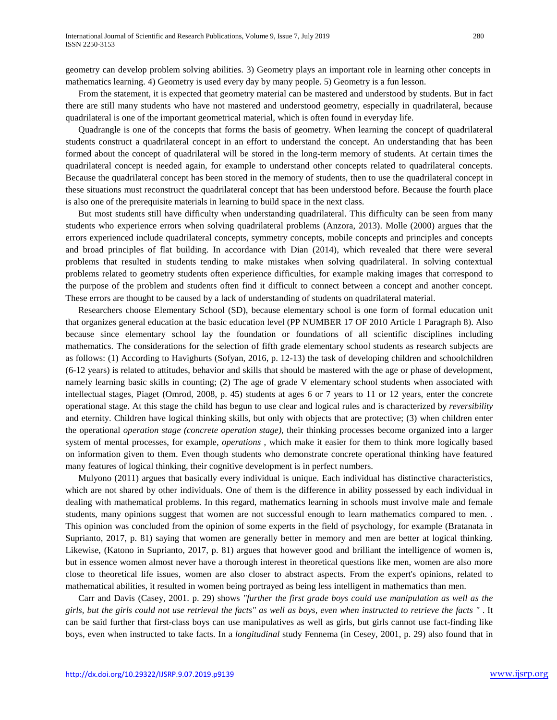geometry can develop problem solving abilities. 3) Geometry plays an important role in learning other concepts in mathematics learning. 4) Geometry is used every day by many people. 5) Geometry is a fun lesson.

From the statement, it is expected that geometry material can be mastered and understood by students. But in fact there are still many students who have not mastered and understood geometry, especially in quadrilateral, because quadrilateral is one of the important geometrical material, which is often found in everyday life.

Quadrangle is one of the concepts that forms the basis of geometry. When learning the concept of quadrilateral students construct a quadrilateral concept in an effort to understand the concept. An understanding that has been formed about the concept of quadrilateral will be stored in the long-term memory of students. At certain times the quadrilateral concept is needed again, for example to understand other concepts related to quadrilateral concepts. Because the quadrilateral concept has been stored in the memory of students, then to use the quadrilateral concept in these situations must reconstruct the quadrilateral concept that has been understood before. Because the fourth place is also one of the prerequisite materials in learning to build space in the next class.

But most students still have difficulty when understanding quadrilateral. This difficulty can be seen from many students who experience errors when solving quadrilateral problems (Anzora, 2013). Molle (2000) argues that the errors experienced include quadrilateral concepts, symmetry concepts, mobile concepts and principles and concepts and broad principles of flat building. In accordance with Dian (2014), which revealed that there were several problems that resulted in students tending to make mistakes when solving quadrilateral. In solving contextual problems related to geometry students often experience difficulties, for example making images that correspond to the purpose of the problem and students often find it difficult to connect between a concept and another concept. These errors are thought to be caused by a lack of understanding of students on quadrilateral material.

Researchers choose Elementary School (SD), because elementary school is one form of formal education unit that organizes general education at the basic education level (PP NUMBER 17 OF 2010 Article 1 Paragraph 8). Also because since elementary school lay the foundation or foundations of all scientific disciplines including mathematics. The considerations for the selection of fifth grade elementary school students as research subjects are as follows: (1) According to Havighurts (Sofyan, 2016, p. 12-13) the task of developing children and schoolchildren (6-12 years) is related to attitudes, behavior and skills that should be mastered with the age or phase of development, namely learning basic skills in counting; (2) The age of grade V elementary school students when associated with intellectual stages, Piaget (Omrod, 2008, p. 45) students at ages 6 or 7 years to 11 or 12 years, enter the concrete operational stage. At this stage the child has begun to use clear and logical rules and is characterized by *reversibility*  and eternity. Children have logical thinking skills, but only with objects that are protective; (3) when children enter the operational *operation stage (concrete operation stage),* their thinking processes become organized into a larger system of mental processes, for example, *operations* , which make it easier for them to think more logically based on information given to them. Even though students who demonstrate concrete operational thinking have featured many features of logical thinking, their cognitive development is in perfect numbers.

Mulyono (2011) argues that basically every individual is unique. Each individual has distinctive characteristics, which are not shared by other individuals. One of them is the difference in ability possessed by each individual in dealing with mathematical problems. In this regard, mathematics learning in schools must involve male and female students, many opinions suggest that women are not successful enough to learn mathematics compared to men. . This opinion was concluded from the opinion of some experts in the field of psychology, for example (Bratanata in Suprianto, 2017, p. 81) saying that women are generally better in memory and men are better at logical thinking. Likewise, (Katono in Suprianto, 2017, p. 81) argues that however good and brilliant the intelligence of women is, but in essence women almost never have a thorough interest in theoretical questions like men, women are also more close to theoretical life issues, women are also closer to abstract aspects. From the expert's opinions, related to mathematical abilities, it resulted in women being portrayed as being less intelligent in mathematics than men.

Carr and Davis (Casey, 2001. p. 29) shows *"further the first grade boys could use manipulation as well as the*  girls, but the girls could not use retrieval the facts" as well as boys, even when instructed to retrieve the facts ". It can be said further that first-class boys can use manipulatives as well as girls, but girls cannot use fact-finding like boys, even when instructed to take facts. In a *longitudinal* study Fennema (in Cesey, 2001, p. 29) also found that in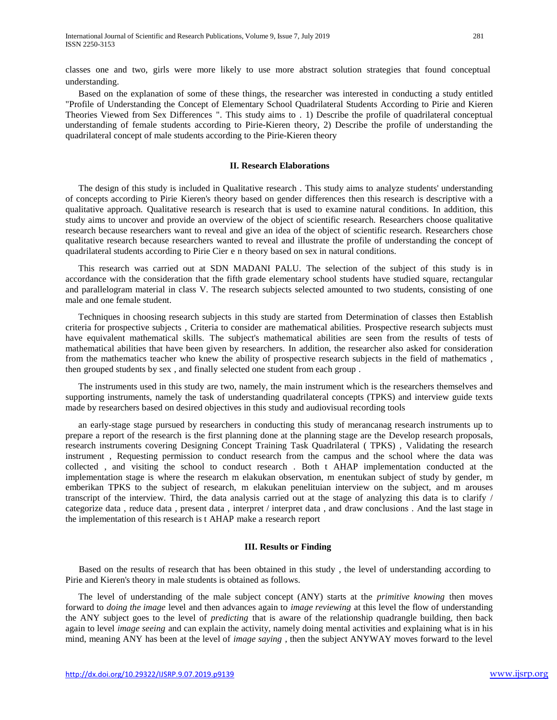classes one and two, girls were more likely to use more abstract solution strategies that found conceptual understanding.

Based on the explanation of some of these things, the researcher was interested in conducting a study entitled "Profile of Understanding the Concept of Elementary School Quadrilateral Students According to Pirie and Kieren Theories Viewed from Sex Differences ". This study aims to . 1) Describe the profile of quadrilateral conceptual understanding of female students according to Pirie-Kieren theory, 2) Describe the profile of understanding the quadrilateral concept of male students according to the Pirie-Kieren theory

## **II. Research Elaborations**

The design of this study is included in Qualitative research . This study aims to analyze students' understanding of concepts according to Pirie Kieren's theory based on gender differences then this research is descriptive with a qualitative approach. Qualitative research is research that is used to examine natural conditions. In addition, this study aims to uncover and provide an overview of the object of scientific research. Researchers choose qualitative research because researchers want to reveal and give an idea of the object of scientific research. Researchers chose qualitative research because researchers wanted to reveal and illustrate the profile of understanding the concept of quadrilateral students according to Pirie Cier e n theory based on sex in natural conditions.

This research was carried out at SDN MADANI PALU. The selection of the subject of this study is in accordance with the consideration that the fifth grade elementary school students have studied square, rectangular and parallelogram material in class V. The research subjects selected amounted to two students, consisting of one male and one female student.

Techniques in choosing research subjects in this study are started from Determination of classes then Establish criteria for prospective subjects , Criteria to consider are mathematical abilities. Prospective research subjects must have equivalent mathematical skills. The subject's mathematical abilities are seen from the results of tests of mathematical abilities that have been given by researchers. In addition, the researcher also asked for consideration from the mathematics teacher who knew the ability of prospective research subjects in the field of mathematics , then grouped students by sex , and finally selected one student from each group .

The instruments used in this study are two, namely, the main instrument which is the researchers themselves and supporting instruments, namely the task of understanding quadrilateral concepts (TPKS) and interview guide texts made by researchers based on desired objectives in this study and audiovisual recording tools

an early-stage stage pursued by researchers in conducting this study of merancanag research instruments up to prepare a report of the research is the first planning done at the planning stage are the Develop research proposals, research instruments covering Designing Concept Training Task Quadrilateral ( TPKS) , Validating the research instrument , Requesting permission to conduct research from the campus and the school where the data was collected , and visiting the school to conduct research . Both t AHAP implementation conducted at the implementation stage is where the research m elakukan observation, m enentukan subject of study by gender, m emberikan TPKS to the subject of research, m elakukan penelituian interview on the subject, and m arouses transcript of the interview. Third, the data analysis carried out at the stage of analyzing this data is to clarify / categorize data , reduce data , present data , interpret / interpret data , and draw conclusions . And the last stage in the implementation of this research is t AHAP make a research report

#### **III. Results or Finding**

Based on the results of research that has been obtained in this study , the level of understanding according to Pirie and Kieren's theory in male students is obtained as follows.

The level of understanding of the male subject concept (ANY) starts at the *primitive knowing* then moves forward to *doing the image* level and then advances again to *image reviewing* at this level the flow of understanding the ANY subject goes to the level of *predicting* that is aware of the relationship quadrangle building, then back again to level *image seeing* and can explain the activity, namely doing mental activities and explaining what is in his mind, meaning ANY has been at the level of *image saying* , then the subject ANYWAY moves forward to the level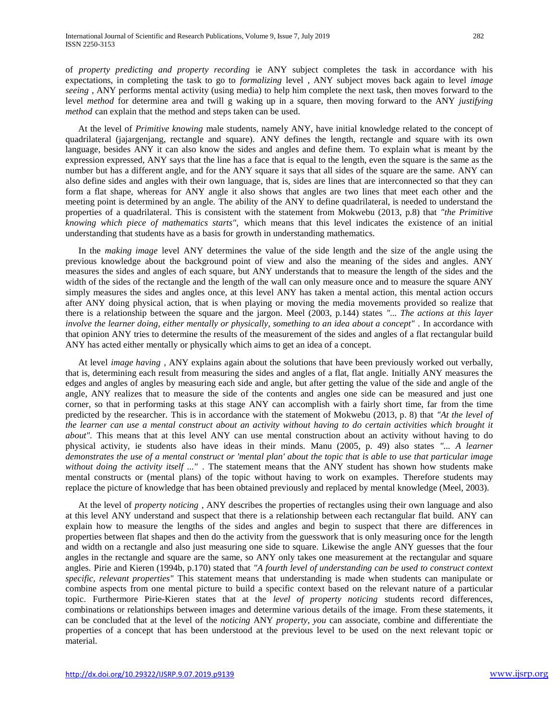of *property predicting and property recording* ie ANY subject completes the task in accordance with his expectations, in completing the task to go to *formalizing* level , ANY subject moves back again to level *image seeing* , ANY performs mental activity (using media) to help him complete the next task, then moves forward to the level *method* for determine area and twill g waking up in a square, then moving forward to the ANY *justifying method* can explain that the method and steps taken can be used.

At the level of *Primitive knowing* male students, namely ANY, have initial knowledge related to the concept of quadrilateral (jajargenjang, rectangle and square). ANY defines the length, rectangle and square with its own language, besides ANY it can also know the sides and angles and define them. To explain what is meant by the expression expressed, ANY says that the line has a face that is equal to the length, even the square is the same as the number but has a different angle, and for the ANY square it says that all sides of the square are the same. ANY can also define sides and angles with their own language, that is, sides are lines that are interconnected so that they can form a flat shape, whereas for ANY angle it also shows that angles are two lines that meet each other and the meeting point is determined by an angle. The ability of the ANY to define quadrilateral, is needed to understand the properties of a quadrilateral. This is consistent with the statement from Mokwebu (2013, p.8) that *"the Primitive knowing which piece of mathematics starts",* which means that this level indicates the existence of an initial understanding that students have as a basis for growth in understanding mathematics.

In the *making image* level ANY determines the value of the side length and the size of the angle using the previous knowledge about the background point of view and also the meaning of the sides and angles. ANY measures the sides and angles of each square, but ANY understands that to measure the length of the sides and the width of the sides of the rectangle and the length of the wall can only measure once and to measure the square ANY simply measures the sides and angles once, at this level ANY has taken a mental action, this mental action occurs after ANY doing physical action, that is when playing or moving the media movements provided so realize that there is a relationship between the square and the jargon. Meel (2003, p.144) states *"... The actions at this layer involve the learner doing, either mentally or physically, something to an idea about a concept"* . In accordance with that opinion ANY tries to determine the results of the measurement of the sides and angles of a flat rectangular build ANY has acted either mentally or physically which aims to get an idea of a concept.

At level *image having* , ANY explains again about the solutions that have been previously worked out verbally, that is, determining each result from measuring the sides and angles of a flat, flat angle. Initially ANY measures the edges and angles of angles by measuring each side and angle, but after getting the value of the side and angle of the angle, ANY realizes that to measure the side of the contents and angles one side can be measured and just one corner, so that in performing tasks at this stage ANY can accomplish with a fairly short time, far from the time predicted by the researcher. This is in accordance with the statement of Mokwebu (2013, p. 8) that *"At the level of the learner can use a mental construct about an activity without having to do certain activities which brought it about".* This means that at this level ANY can use mental construction about an activity without having to do physical activity, ie students also have ideas in their minds. Manu (2005, p. 49) also states *"... A learner*  demonstrates the use of a mental construct or 'mental plan' about the topic that is able to use that particular image *without doing the activity itself ..."* . The statement means that the ANY student has shown how students make mental constructs or (mental plans) of the topic without having to work on examples. Therefore students may replace the picture of knowledge that has been obtained previously and replaced by mental knowledge (Meel, 2003).

At the level of *property noticing* , ANY describes the properties of rectangles using their own language and also at this level ANY understand and suspect that there is a relationship between each rectangular flat build. ANY can explain how to measure the lengths of the sides and angles and begin to suspect that there are differences in properties between flat shapes and then do the activity from the guesswork that is only measuring once for the length and width on a rectangle and also just measuring one side to square. Likewise the angle ANY guesses that the four angles in the rectangle and square are the same, so ANY only takes one measurement at the rectangular and square angles. Pirie and Kieren (1994b, p.170) stated that *"A fourth level of understanding can be used to construct context specific, relevant properties"* This statement means that understanding is made when students can manipulate or combine aspects from one mental picture to build a specific context based on the relevant nature of a particular topic. Furthermore Pirie-Kieren states that at the *level of property noticing* students record differences, combinations or relationships between images and determine various details of the image. From these statements, it can be concluded that at the level of the *noticing* ANY *property, you* can associate, combine and differentiate the properties of a concept that has been understood at the previous level to be used on the next relevant topic or material.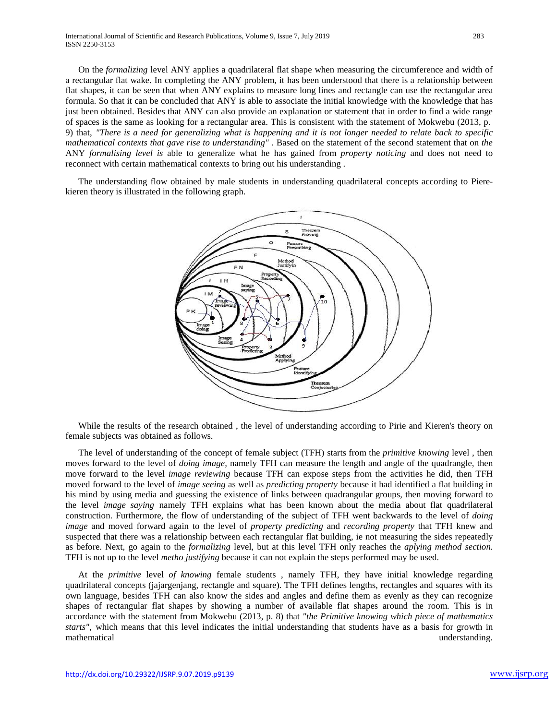On the *formalizing* level ANY applies a quadrilateral flat shape when measuring the circumference and width of a rectangular flat wake. In completing the ANY problem, it has been understood that there is a relationship between flat shapes, it can be seen that when ANY explains to measure long lines and rectangle can use the rectangular area formula. So that it can be concluded that ANY is able to associate the initial knowledge with the knowledge that has just been obtained. Besides that ANY can also provide an explanation or statement that in order to find a wide range of spaces is the same as looking for a rectangular area. This is consistent with the statement of Mokwebu (2013, p. 9) that, "There is a need for generalizing what is happening and it is not longer needed to relate back to specific *mathematical contexts that gave rise to understanding"* . Based on the statement of the second statement that on *the*  ANY *formalising level is* able to generalize what he has gained from *property noticing* and does not need to reconnect with certain mathematical contexts to bring out his understanding .

The understanding flow obtained by male students in understanding quadrilateral concepts according to Pierekieren theory is illustrated in the following graph.



While the results of the research obtained , the level of understanding according to Pirie and Kieren's theory on female subjects was obtained as follows.

The level of understanding of the concept of female subject (TFH) starts from the *primitive knowing* level *,* then moves forward to the level of *doing image,* namely TFH can measure the length and angle of the quadrangle, then move forward to the level *image reviewing* because TFH can expose steps from the activities he did, then TFH moved forward to the level of *image seeing* as well as *predicting property* because it had identified a flat building in his mind by using media and guessing the existence of links between quadrangular groups, then moving forward to the level *image saying* namely TFH explains what has been known about the media about flat quadrilateral construction. Furthermore, the flow of understanding of the subject of TFH went backwards to the level of *doing image* and moved forward again to the level of *property predicting* and *recording property* that TFH knew and suspected that there was a relationship between each rectangular flat building, ie not measuring the sides repeatedly as before. Next, go again to the *formalizing* level, but at this level TFH only reaches the *aplying method section.*  TFH is not up to the level *metho justifying* because it can not explain the steps performed may be used.

At the *primitive* level *of knowing* female students , namely TFH, they have initial knowledge regarding quadrilateral concepts (jajargenjang, rectangle and square). The TFH defines lengths, rectangles and squares with its own language, besides TFH can also know the sides and angles and define them as evenly as they can recognize shapes of rectangular flat shapes by showing a number of available flat shapes around the room. This is in accordance with the statement from Mokwebu (2013, p. 8) that *"the Primitive knowing which piece of mathematics starts",* which means that this level indicates the initial understanding that students have as a basis for growth in mathematical understanding.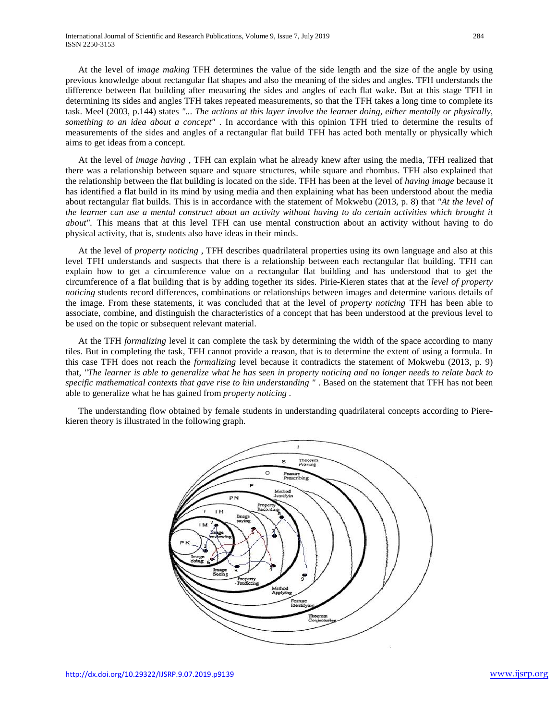At the level of *image making* TFH determines the value of the side length and the size of the angle by using previous knowledge about rectangular flat shapes and also the meaning of the sides and angles. TFH understands the difference between flat building after measuring the sides and angles of each flat wake. But at this stage TFH in determining its sides and angles TFH takes repeated measurements, so that the TFH takes a long time to complete its task. Meel (2003, p.144) states *"... The actions at this layer involve the learner doing, either mentally or physically, something to an idea about a concept"* . In accordance with this opinion TFH tried to determine the results of measurements of the sides and angles of a rectangular flat build TFH has acted both mentally or physically which aims to get ideas from a concept.

At the level of *image having* , TFH can explain what he already knew after using the media, TFH realized that there was a relationship between square and square structures, while square and rhombus. TFH also explained that the relationship between the flat building is located on the side. TFH has been at the level of *having image* because it has identified a flat build in its mind by using media and then explaining what has been understood about the media about rectangular flat builds. This is in accordance with the statement of Mokwebu (2013, p. 8) that *"At the level of the learner can use a mental construct about an activity without having to do certain activities which brought it about".* This means that at this level TFH can use mental construction about an activity without having to do physical activity, that is, students also have ideas in their minds.

At the level of *property noticing* , TFH describes quadrilateral properties using its own language and also at this level TFH understands and suspects that there is a relationship between each rectangular flat building. TFH can explain how to get a circumference value on a rectangular flat building and has understood that to get the circumference of a flat building that is by adding together its sides. Pirie-Kieren states that at the *level of property noticing* students record differences, combinations or relationships between images and determine various details of the image. From these statements, it was concluded that at the level of *property noticing* TFH has been able to associate, combine, and distinguish the characteristics of a concept that has been understood at the previous level to be used on the topic or subsequent relevant material.

At the TFH *formalizing* level it can complete the task by determining the width of the space according to many tiles. But in completing the task, TFH cannot provide a reason, that is to determine the extent of using a formula. In this case TFH does not reach the *formalizing* level because it contradicts the statement of Mokwebu (2013, p. 9) that, "The learner is able to generalize what he has seen in property noticing and no longer needs to relate back to *specific mathematical contexts that gave rise to hin understanding "* . Based on the statement that TFH has not been able to generalize what he has gained from *property noticing* .

The understanding flow obtained by female students in understanding quadrilateral concepts according to Pierekieren theory is illustrated in the following graph.

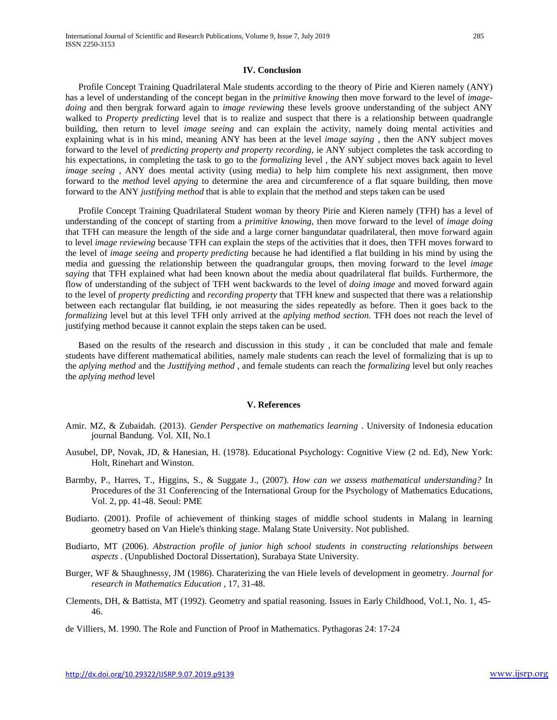### **IV. Conclusion**

Profile Concept Training Quadrilateral Male students according to the theory of Pirie and Kieren namely (ANY) has a level of understanding of the concept began in the *primitive knowing* then move forward to the level of *imagedoing* and then bergrak forward again to *image reviewing* these levels groove understanding of the subject ANY walked to *Property predicting* level that is to realize and suspect that there is a relationship between quadrangle building, then return to level *image seeing* and can explain the activity, namely doing mental activities and explaining what is in his mind, meaning ANY has been at the level *image saying* , then the ANY subject moves forward to the level of *predicting property and property recording,* ie ANY subject completes the task according to his expectations, in completing the task to go to the *formalizing* level , the ANY subject moves back again to level *image seeing*, ANY does mental activity (using media) to help him complete his next assignment, then move forward to the *method* level *apying* to determine the area and circumference of a flat square building, then move forward to the ANY *justifying method* that is able to explain that the method and steps taken can be used

Profile Concept Training Quadrilateral Student woman by theory Pirie and Kieren namely (TFH) has a level of understanding of the concept of starting from a *primitive knowing,* then move forward to the level of *image doing*  that TFH can measure the length of the side and a large corner bangundatar quadrilateral, then move forward again to level *image reviewing* because TFH can explain the steps of the activities that it does, then TFH moves forward to the level of *image seeing* and *property predicting* because he had identified a flat building in his mind by using the media and guessing the relationship between the quadrangular groups, then moving forward to the level *image saying* that TFH explained what had been known about the media about quadrilateral flat builds. Furthermore, the flow of understanding of the subject of TFH went backwards to the level of *doing image* and moved forward again to the level of *property predicting* and *recording property* that TFH knew and suspected that there was a relationship between each rectangular flat building, ie not measuring the sides repeatedly as before. Then it goes back to the *formalizing* level but at this level TFH only arrived at the *aplying method section.* TFH does not reach the level of justifying method because it cannot explain the steps taken can be used.

Based on the results of the research and discussion in this study , it can be concluded that male and female students have different mathematical abilities, namely male students can reach the level of formalizing that is up to the *aplying method* and the *Justtifying method* , and female students can reach the *formalizing* level but only reaches the *aplying method* level

#### **V. References**

- Amir. MZ, & Zubaidah. (2013). *Gender Perspective on mathematics learning* . University of Indonesia education journal Bandung. Vol. XII, No.1
- Ausubel, DP, Novak, JD, & Hanesian, H. (1978). Educational Psychology: Cognitive View (2 nd. Ed), New York: Holt, Rinehart and Winston.
- Barmby, P., Harres, T., Higgins, S., & Suggate J., (2007). *How can we assess mathematical understanding?* In Procedures of the 31 Conferencing of the International Group for the Psychology of Mathematics Educations, Vol. 2, pp. 41-48. Seoul: PME
- Budiarto. (2001). Profile of achievement of thinking stages of middle school students in Malang in learning geometry based on Van Hiele's thinking stage. Malang State University. Not published.
- Budiarto, MT (2006). *Abstraction profile of junior high school students in constructing relationships between aspects* . (Unpublished Doctoral Dissertation), Surabaya State University.
- Burger, WF & Shaughnessy, JM (1986). Charaterizing the van Hiele levels of development in geometry. *Journal for research in Mathematics Education* , 17, 31-48.
- Clements, DH, & Battista, MT (1992). Geometry and spatial reasoning. Issues in Early Childhood, Vol.1, No. 1, 45- 46.

de Villiers, M. 1990. The Role and Function of Proof in Mathematics. Pythagoras 24: 17-24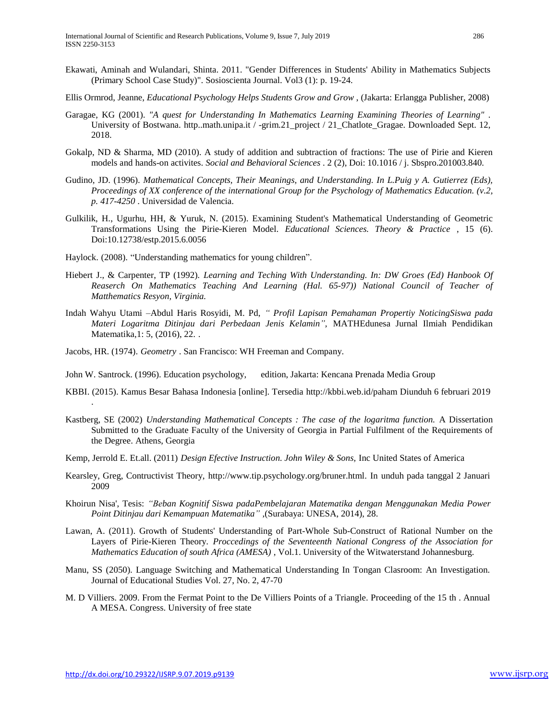- Ekawati, Aminah and Wulandari, Shinta. 2011. "Gender Differences in Students' Ability in Mathematics Subjects (Primary School Case Study)". Sosioscienta Journal. Vol3 (1): p. 19-24.
- Ellis Ormrod, Jeanne, *Educational Psychology Helps Students Grow and Grow* , (Jakarta: Erlangga Publisher, 2008)
- Garagae, KG (2001). *"A quest for Understanding In Mathematics Learning Examining Theories of Learning"* . University of Bostwana. http..math.unipa.it / -grim.21\_project / 21\_Chatlote\_Gragae. Downloaded Sept. 12, 2018.
- Gokalp, ND & Sharma, MD (2010). A study of addition and subtraction of fractions: The use of Pirie and Kieren models and hands-on activites. *Social and Behavioral Sciences* . 2 (2), Doi: 10.1016 / j. Sbspro.201003.840.
- Gudino, JD. (1996). *Mathematical Concepts, Their Meanings, and Understanding. In L.Puig y A. Gutierrez (Eds), Proceedings of XX conference of the international Group for the Psychology of Mathematics Education. (v.2, p. 417-4250* . Universidad de Valencia.
- Gulkilik, H., Ugurhu, HH, & Yuruk, N. (2015). Examining Student's Mathematical Understanding of Geometric Transformations Using the Pirie-Kieren Model. *Educational Sciences. Theory & Practice* , 15 (6). Doi:10.12738/estp.2015.6.0056
- Haylock. (2008). "Understanding mathematics for young children".
- Hiebert J., & Carpenter, TP (1992). *Learning and Teching With Understanding. In: DW Groes (Ed) Hanbook Of*  Reaserch On Mathematics Teaching And Learning (Hal. 65-97)) National Council of Teacher of *Matthematics Resyon, Virginia.*
- Indah Wahyu Utami –Abdul Haris Rosyidi, M. Pd, *" Profil Lapisan Pemahaman Propertiy NoticingSiswa pada Materi Logaritma Ditinjau dari Perbedaan Jenis Kelamin",* MATHEdunesa Jurnal Ilmiah Pendidikan Matematika,1: 5, (2016), 22. .
- Jacobs, HR. (1974). *Geometry* . San Francisco: WH Freeman and Company.
- John W. Santrock. (1996). Education psychology, edition, Jakarta: Kencana Prenada Media Group
- KBBI. (2015). Kamus Besar Bahasa Indonesia [online]. Tersedia [http://kbbi.web.id/paham](https://translate.google.com/translate?hl=id&prev=_t&sl=id&tl=en&u=http://kbbi.web.id/paham%2520Diunduh%25206%2520februari%25202019) Diunduh 6 februari 2019
- Kastberg, SE (2002) *Understanding Mathematical Concepts : The case of the logaritma function.* A Dissertation Submitted to the Graduate Faculty of the University of Georgia in Partial Fulfilment of the Requirements of the Degree. Athens, Georgia
- Kemp, Jerrold E. Et.all. (2011) *Design Efective Instruction. John Wiley & Sons,* Inc United States of America
- Kearsley, Greg, Contructivist Theory, [http://www.tip.psychology.org/bruner.html.](http://www.tip.psychology.org/bruner.html) In unduh pada tanggal 2 Januari 2009
- Khoirun Nisa', Tesis: *"Beban Kognitif Siswa padaPembelajaran Matematika dengan Menggunakan Media Power Point Ditinjau dari Kemampuan Matematika"* ,(Surabaya: UNESA, 2014), 28.
- Lawan, A. (2011). Growth of Students' Understanding of Part-Whole Sub-Construct of Rational Number on the Layers of Pirie-Kieren Theory. *Proccedings of the Seventeenth National Congress of the Association for Mathematics Education of south Africa (AMESA)* , Vol.1. University of the Witwaterstand Johannesburg.
- Manu, SS (2050). Language Switching and Mathematical Understanding In Tongan Clasroom: An Investigation. Journal of Educational Studies Vol. 27, No. 2, 47-70
- M. D Villiers. 2009. From the Fermat Point to the De Villiers Points of a Triangle. Proceeding of the 15 th . Annual A MESA. Congress. University of free state

.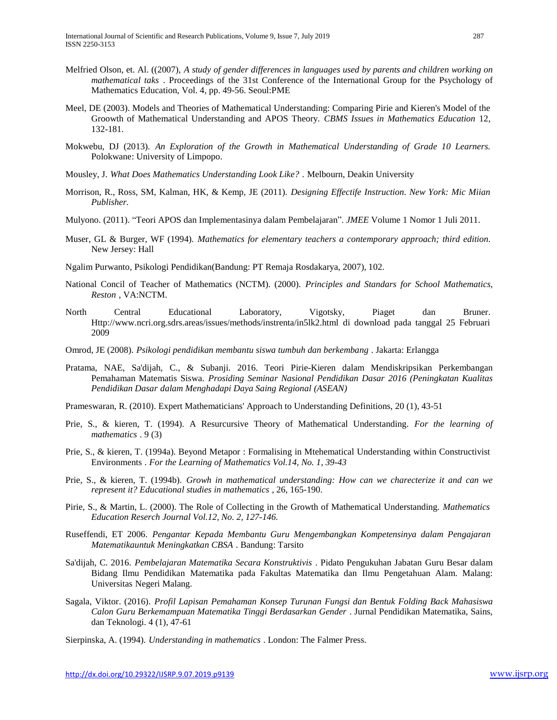- Melfried Olson, et. Al. ((2007), *A study of gender differences in languages used by parents and children working on mathematical taks* . Proceedings of the 31st Conference of the International Group for the Psychology of Mathematics Education, Vol. 4, pp. 49-56. Seoul:PME
- Meel, DE (2003). Models and Theories of Mathematical Understanding: Comparing Pirie and Kieren's Model of the Groowth of Mathematical Understanding and APOS Theory. *CBMS Issues in Mathematics Education* 12, 132-181.
- Mokwebu, DJ (2013). *An Exploration of the Growth in Mathematical Understanding of Grade 10 Learners.* Polokwane: University of Limpopo.
- Mousley, J. *What Does Mathematics Understanding Look Like?* . Melbourn, Deakin University
- Morrison, R., Ross, SM, Kalman, HK, & Kemp, JE (2011). *Designing Effectife Instruction. New York: Mic Miian Publisher.*
- Mulyono. (2011). "Teori APOS dan Implementasinya dalam Pembelajaran". *JMEE* Volume 1 Nomor 1 Juli 2011.
- Muser, GL & Burger, WF (1994). *Mathematics for elementary teachers a contemporary approach; third edition.* New Jersey: Hall
- Ngalim Purwanto, Psikologi Pendidikan(Bandung: PT Remaja Rosdakarya, 2007), 102.
- National Concil of Teacher of Mathematics (NCTM). (2000). *Principles and Standars for School Mathematics, Reston* , VA:NCTM.
- North Central Educational Laboratory, Vigotsky, Piaget dan Bruner. [Http://www.ncri.org.sdrs.areas/issues/methods/instrenta/in5lk2.html](https://translate.google.com/translate?hl=id&prev=_t&sl=id&tl=en&u=Http://www.ncri.org.sdrs.areas/issues/methods/instrenta/in5lk2.html) di download pada tanggal 25 Februari 2009
- Omrod, JE (2008). *Psikologi pendidikan membantu siswa tumbuh dan berkembang* . Jakarta: Erlangga
- Pratama, NAE, Sa'dijah, C., & Subanji. 2016. Teori Pirie-Kieren dalam Mendiskripsikan Perkembangan Pemahaman Matematis Siswa. *Prosiding Seminar Nasional Pendidikan Dasar 2016 (Peningkatan Kualitas Pendidikan Dasar dalam Menghadapi Daya Saing Regional (ASEAN)*
- Prameswaran, R. (2010). Expert Mathematicians' Approach to Understanding Definitions, 20 (1), 43-51
- Prie, S., & kieren, T. (1994). A Resurcursive Theory of Mathematical Understanding. *For the learning of mathematics* . 9 (3)
- Prie, S., & kieren, T. (1994a). Beyond Metapor : Formalising in Mtehematical Understanding within Constructivist Environments *. For the Learning of Mathematics Vol.14, No. 1, 39-43*
- Prie, S., & kieren, T. (1994b). *Growh in mathematical understanding: How can we charecterize it and can we represent it? Educational studies in mathematics* , 26, 165-190.
- Pirie, S., & Martin, L. (2000). The Role of Collecting in the Growth of Mathematical Understanding. *Mathematics Education Reserch Journal Vol.12, No. 2, 127-146.*
- Ruseffendi, ET 2006. *Pengantar Kepada Membantu Guru Mengembangkan Kompetensinya dalam Pengajaran Matematikauntuk Meningkatkan CBSA* . Bandung: Tarsito
- Sa'dijah, C. 2016. *Pembelajaran Matematika Secara Konstruktivis* . Pidato Pengukuhan Jabatan Guru Besar dalam Bidang Ilmu Pendidikan Matematika pada Fakultas Matematika dan Ilmu Pengetahuan Alam. Malang: Universitas Negeri Malang.
- Sagala, Viktor. (2016). *Profil Lapisan Pemahaman Konsep Turunan Fungsi dan Bentuk Folding Back Mahasiswa Calon Guru Berkemampuan Matematika Tinggi Berdasarkan Gender* . Jurnal Pendidikan Matematika, Sains, dan Teknologi. 4 (1), 47-61
- Sierpinska, A. (1994). *Understanding in mathematics* . London: The Falmer Press.